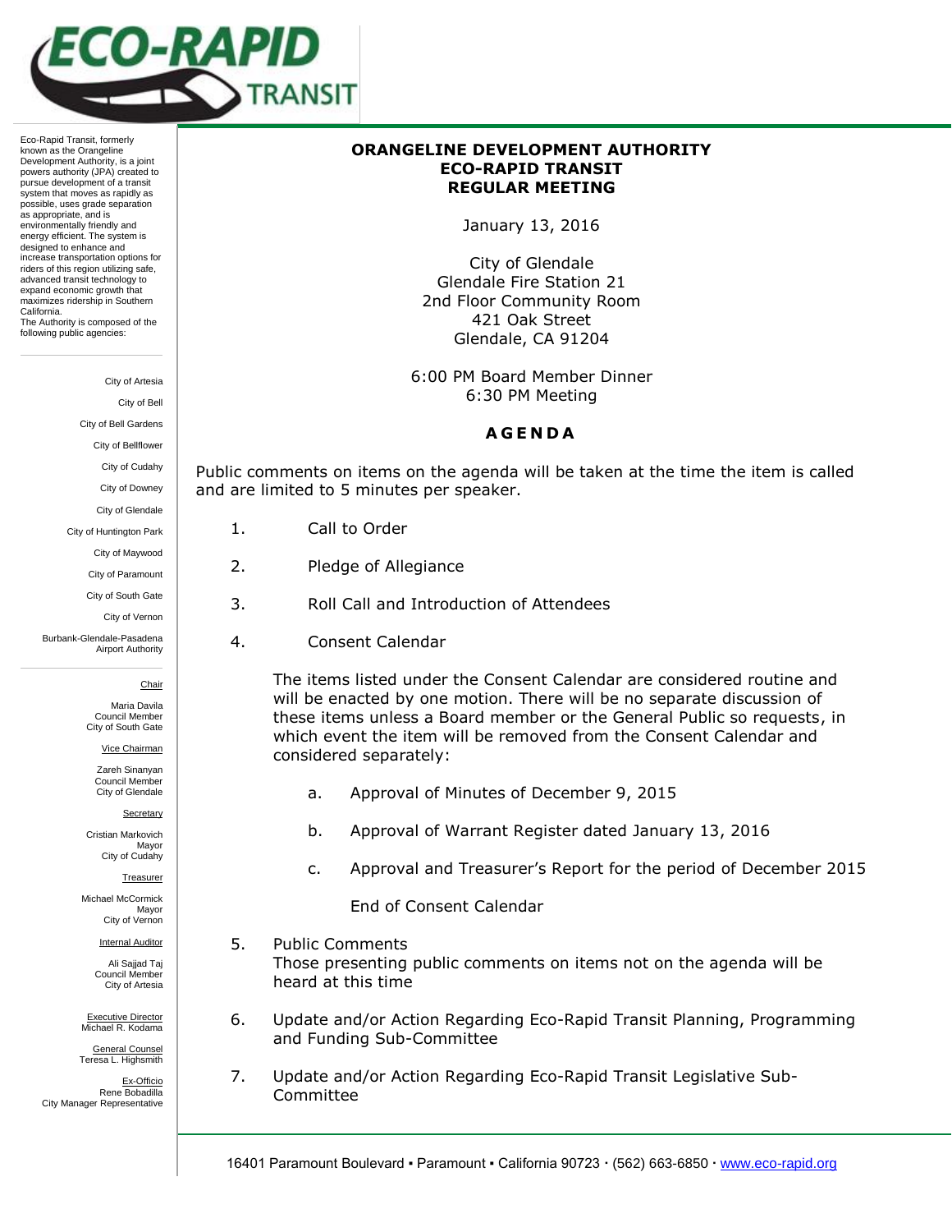

Eco-Rapid Transit, formerly known as the Orangeline Development Authority, is a joint powers authority (JPA) created to pursue development of a transit system that moves as rapidly as possible, uses grade separation as appropriate, and is environmentally friendly and energy efficient. The system is designed to enhance and increase transportation options for riders of this region utilizing safe, advanced transit technology to expand economic growth that maximizes ridership in Southern California. The Authority is composed of the following public agencies:

City of Artesia

City of Bell

City of Bell Gardens

City of Bellflower

City of Cudahy

City of Downey

City of Glendale

City of Huntington Park

City of Maywood

City of Paramount

City of South Gate

Maria Davila Council Member City of South Gate

Vice Chairman

Zareh Sinanyan Council Member City of Glendale

**Secretary** 

Cristian Markovich Mayor City of Cudahy

Treasurer

Michael McCormick Mayor City of Vernon

Internal Auditor

Ali Sajjad Taj Council Member City of Artesia

Executive Director Michael R. Kodama

General Counsel Teresa L. Highsmith

Ex-Officio Rene Bobadilla City Manager Representative

## **ORANGELINE DEVELOPMENT AUTHORITY ECO-RAPID TRANSIT REGULAR MEETING**

January 13, 2016

City of Glendale Glendale Fire Station 21 2nd Floor Community Room 421 Oak Street Glendale, CA 91204

6:00 PM Board Member Dinner 6:30 PM Meeting

## **A G E N D A**

Public comments on items on the agenda will be taken at the time the item is called and are limited to 5 minutes per speaker.

- 1. Call to Order
- 2. Pledge of Allegiance
- 3. Roll Call and Introduction of Attendees
- 4. Consent Calendar

The items listed under the Consent Calendar are considered routine and will be enacted by one motion. There will be no separate discussion of these items unless a Board member or the General Public so requests, in which event the item will be removed from the Consent Calendar and considered separately:

- a. Approval of Minutes of December 9, 2015
- b. Approval of Warrant Register dated January 13, 2016
- c. Approval and Treasurer's Report for the period of December 2015

End of Consent Calendar

- 5. Public Comments Those presenting public comments on items not on the agenda will be heard at this time
- 6. Update and/or Action Regarding Eco-Rapid Transit Planning, Programming and Funding Sub-Committee
- 7. Update and/or Action Regarding Eco-Rapid Transit Legislative Sub-Committee

City of Vernon

Burbank-Glendale-Pasadena Airport Authority

**Chair**